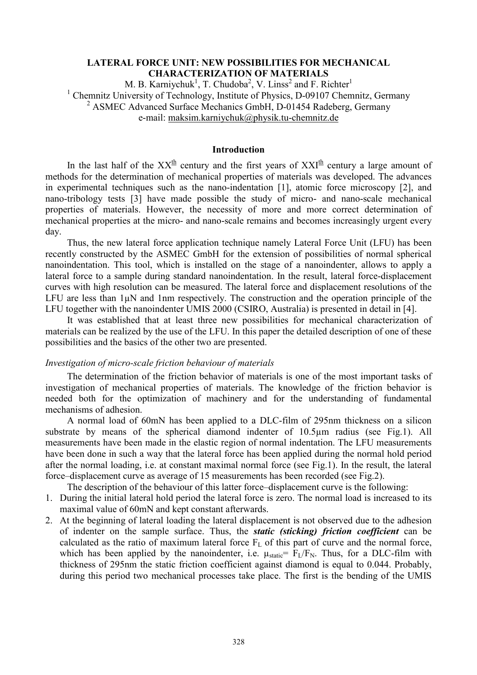# **LATERAL FORCE UNIT: NEW POSSIBILITIES FOR MECHANICAL CHARACTERIZATION OF MATERIALS**

M. B. Karniychuk<sup>1</sup>, T. Chudoba<sup>2</sup>, V. Linss<sup>2</sup> and F. Richter<sup>1</sup> <sup>1</sup> Chemnitz University of Technology, Institute of Physics, D-09107 Chemnitz, Germany <sup>2</sup> ASMEC Advanced Surface Mechanics GmbH, D-01454 Radeberg, Germany e-mail: [maksim.karniychuk@physik.tu-chemnitz.de](mailto:maksim.karniychuk@physik.tu-chemnitz.de)

# **Introduction**

In the last half of the  $XX^{\text{th}}$  century and the first years of  $XXI^{\text{th}}$  century a large amount of methods for the determination of mechanical properties of materials was developed. The advances in experimental techniques such as the nano-indentation [1], atomic force microscopy [2], and nano-tribology tests [3] have made possible the study of micro- and nano-scale mechanical properties of materials. However, the necessity of more and more correct determination of mechanical properties at the micro- and nano-scale remains and becomes increasingly urgent every day.

Thus, the new lateral force application technique namely Lateral Force Unit (LFU) has been recently constructed by the ASMEC GmbH for the extension of possibilities of normal spherical nanoindentation. This tool, which is installed on the stage of a nanoindenter, allows to apply a lateral force to a sample during standard nanoindentation. In the result, lateral force-displacement curves with high resolution can be measured. The lateral force and displacement resolutions of the LFU are less than  $1\mu$ N and 1nm respectively. The construction and the operation principle of the LFU together with the nanoindenter UMIS 2000 (CSIRO, Australia) is presented in detail in [4].

It was established that at least three new possibilities for mechanical characterization of materials can be realized by the use of the LFU. In this paper the detailed description of one of these possibilities and the basics of the other two are presented.

#### *Investigation of micro-scale friction behaviour of materials*

The determination of the friction behavior of materials is one of the most important tasks of investigation of mechanical properties of materials. The knowledge of the friction behavior is needed both for the optimization of machinery and for the understanding of fundamental mechanisms of adhesion.

A normal load of 60mN has been applied to a DLC-film of 295nm thickness on a silicon substrate by means of the spherical diamond indenter of 10.5µm radius (see Fig.1). All measurements have been made in the elastic region of normal indentation. The LFU measurements have been done in such a way that the lateral force has been applied during the normal hold period after the normal loading, i.e. at constant maximal normal force (see Fig.1). In the result, the lateral force–displacement curve as average of 15 measurements has been recorded (see Fig.2).

The description of the behaviour of this latter force–displacement curve is the following:

- 1. During the initial lateral hold period the lateral force is zero. The normal load is increased to its maximal value of 60mN and kept constant afterwards.
- 2. At the beginning of lateral loading the lateral displacement is not observed due to the adhesion of indenter on the sample surface. Thus, the *static (sticking) friction coefficient* can be calculated as the ratio of maximum lateral force  $F<sub>L</sub>$  of this part of curve and the normal force, which has been applied by the nanoindenter, i.e.  $\mu_{static} = F_L/F_N$ . Thus, for a DLC-film with thickness of 295nm the static friction coefficient against diamond is equal to 0.044. Probably, during this period two mechanical processes take place. The first is the bending of the UMIS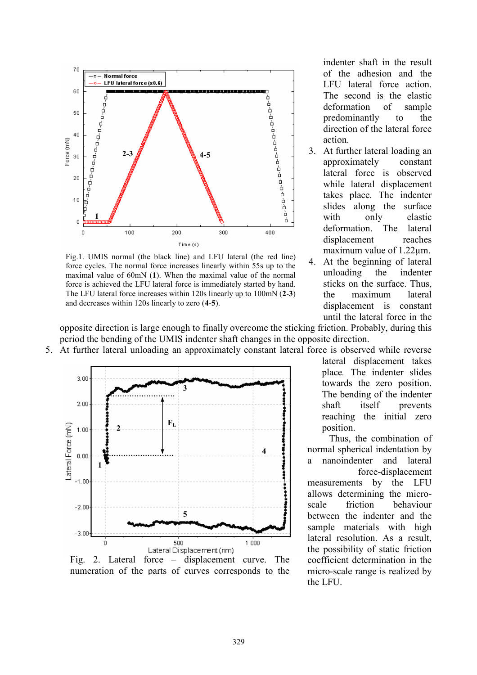

Fig.1. UMIS normal (the black line) and LFU lateral (the red line) force cycles. The normal force increases linearly within 55s up to the maximal value of 60mN (**1**). When the maximal value of the normal force is achieved the LFU lateral force is immediately started by hand. The LFU lateral force increases within 120s linearly up to 100mN (**2**-**3**) and decreases within 120s linearly to zero (**4**-**5**).

indenter shaft in the result of the adhesion and the LFU lateral force action. The second is the elastic deformation of sample predominantly to the direction of the lateral force action.

- 3. At further lateral loading an approximately constant lateral force is observed while lateral displacement takes place*.* The indenter slides along the surface with only elastic deformation. The lateral displacement reaches maximum value of 1.22µm.
- 4. At the beginning of lateral unloading the indenter sticks on the surface. Thus, the maximum lateral displacement is constant until the lateral force in the

opposite direction is large enough to finally overcome the sticking friction. Probably, during this period the bending of the UMIS indenter shaft changes in the opposite direction.





numeration of the parts of curves corresponds to the

lateral displacement takes place*.* The indenter slides towards the zero position. The bending of the indenter shaft itself prevents reaching the initial zero position.

Thus, the combination of normal spherical indentation by a nanoindenter and lateral force-displacement measurements by the LFU allows determining the microscale friction behaviour between the indenter and the sample materials with high lateral resolution. As a result, the possibility of static friction coefficient determination in the micro-scale range is realized by the LFU.